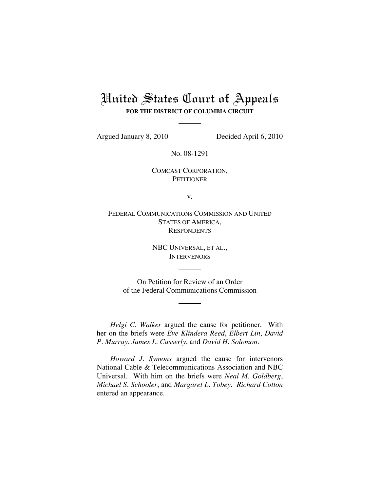# United States Court of Appeals **FOR THE DISTRICT OF COLUMBIA CIRCUIT**

Argued January 8, 2010 Decided April 6, 2010

No. 08-1291

COMCAST CORPORATION, **PETITIONER** 

v.

FEDERAL COMMUNICATIONS COMMISSION AND UNITED STATES OF AMERICA, **RESPONDENTS** 

> NBC UNIVERSAL, ET AL., **INTERVENORS**

On Petition for Review of an Order of the Federal Communications Commission

*Helgi C. Walker* argued the cause for petitioner. With her on the briefs were *Eve Klindera Reed*, *Elbert Lin*, *David P. Murray*, *James L. Casserly*, and *David H. Solomon*.

*Howard J. Symons* argued the cause for intervenors National Cable & Telecommunications Association and NBC Universal. With him on the briefs were *Neal M. Goldberg*, *Michael S. Schooler*, and *Margaret L. Tobey*. *Richard Cotton* entered an appearance.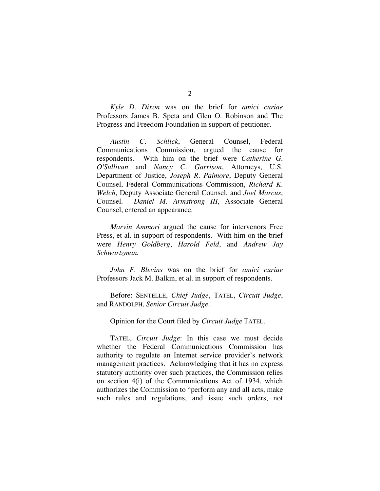*Kyle D. Dixon* was on the brief for *amici curiae*  Professors James B. Speta and Glen O. Robinson and The Progress and Freedom Foundation in support of petitioner.

*Austin C. Schlick*, General Counsel, Federal Communications Commission, argued the cause for respondents. With him on the brief were *Catherine G. O'Sullivan* and *Nancy C. Garrison*, Attorneys, U.S. Department of Justice, *Joseph R. Palmore*, Deputy General Counsel, Federal Communications Commission, *Richard K. Welch*, Deputy Associate General Counsel, and *Joel Marcus*, Counsel. *Daniel M. Armstrong III*, Associate General Counsel, entered an appearance.

*Marvin Ammori* argued the cause for intervenors Free Press, et al. in support of respondents. With him on the brief were *Henry Goldberg*, *Harold Feld*, and *Andrew Jay Schwartzman*.

*John F. Blevins* was on the brief for *amici curiae* Professors Jack M. Balkin, et al. in support of respondents.

Before: SENTELLE, *Chief Judge*, TATEL, *Circuit Judge*, and RANDOLPH, *Senior Circuit Judge*.

Opinion for the Court filed by *Circuit Judge* TATEL*.*

TATEL, *Circuit Judge*: In this case we must decide whether the Federal Communications Commission has authority to regulate an Internet service provider's network management practices. Acknowledging that it has no express statutory authority over such practices, the Commission relies on section 4(i) of the Communications Act of 1934, which authorizes the Commission to "perform any and all acts, make such rules and regulations, and issue such orders, not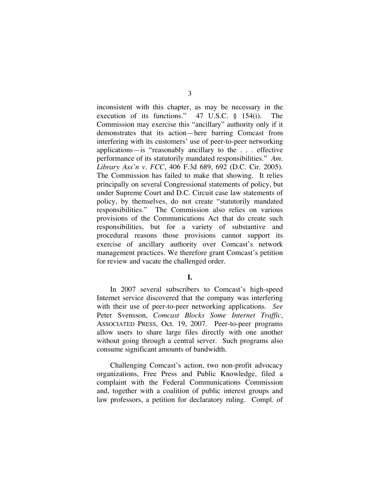inconsistent with this chapter, as may be necessary in the execution of its functions." 47 U.S.C. § 154(i). The Commission may exercise this "ancillary" authority only if it demonstrates that its action—here barring Comcast from interfering with its customers' use of peer-to-peer networking applications—is "reasonably ancillary to the . . . effective performance of its statutorily mandated responsibilities." *Am. Library Ass'n v. FCC*, 406 F.3d 689, 692 (D.C. Cir. 2005). The Commission has failed to make that showing. It relies principally on several Congressional statements of policy, but under Supreme Court and D.C. Circuit case law statements of policy, by themselves, do not create "statutorily mandated responsibilities." The Commission also relies on various provisions of the Communications Act that do create such responsibilities, but for a variety of substantive and procedural reasons those provisions cannot support its exercise of ancillary authority over Comcast's network management practices. We therefore grant Comcast's petition for review and vacate the challenged order.

## **I.**

In 2007 several subscribers to Comcast's high-speed Internet service discovered that the company was interfering with their use of peer-to-peer networking applications. *See*  Peter Svensson, *Comcast Blocks Some Internet Traffic*, ASSOCIATED PRESS, Oct. 19, 2007. Peer-to-peer programs allow users to share large files directly with one another without going through a central server. Such programs also consume significant amounts of bandwidth.

Challenging Comcast's action, two non-profit advocacy organizations, Free Press and Public Knowledge, filed a complaint with the Federal Communications Commission and, together with a coalition of public interest groups and law professors, a petition for declaratory ruling. Compl. of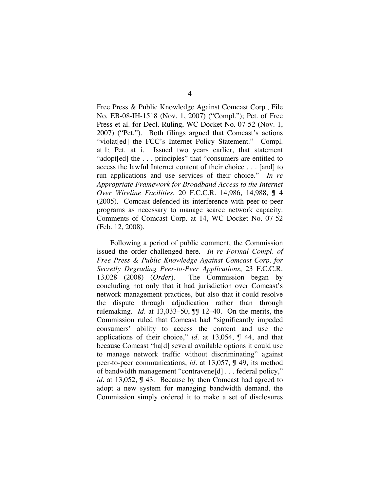Free Press & Public Knowledge Against Comcast Corp., File No. EB-08-IH-1518 (Nov. 1, 2007) ("Compl."); Pet. of Free Press et al. for Decl. Ruling, WC Docket No. 07-52 (Nov. 1, 2007) ("Pet."). Both filings argued that Comcast's actions "violat<sup>[ed]</sup> the FCC's Internet Policy Statement." Compl. at 1; Pet. at i. Issued two years earlier, that statement "adopt[ed] the . . . principles" that "consumers are entitled to access the lawful Internet content of their choice . . . [and] to run applications and use services of their choice." *In re Appropriate Framework for Broadband Access to the Internet Over Wireline Facilities*, 20 F.C.C.R. 14,986, 14,988, ¶ 4 (2005). Comcast defended its interference with peer-to-peer programs as necessary to manage scarce network capacity. Comments of Comcast Corp. at 14, WC Docket No. 07-52 (Feb. 12, 2008).

Following a period of public comment, the Commission issued the order challenged here. *In re Formal Compl. of Free Press & Public Knowledge Against Comcast Corp. for Secretly Degrading Peer-to-Peer Applications*, 23 F.C.C.R. 13,028 (2008) (*Order*). The Commission began by concluding not only that it had jurisdiction over Comcast's network management practices, but also that it could resolve the dispute through adjudication rather than through rulemaking. *Id.* at 13,033–50, **J** 12–40. On the merits, the Commission ruled that Comcast had "significantly impeded consumers' ability to access the content and use the applications of their choice," *id.* at 13,054, ¶ 44, and that because Comcast "ha[d] several available options it could use to manage network traffic without discriminating" against peer-to-peer communications, *id.* at 13,057, ¶ 49, its method of bandwidth management "contravene[d] . . . federal policy," *id.* at 13,052, **J** 43. Because by then Comcast had agreed to adopt a new system for managing bandwidth demand, the Commission simply ordered it to make a set of disclosures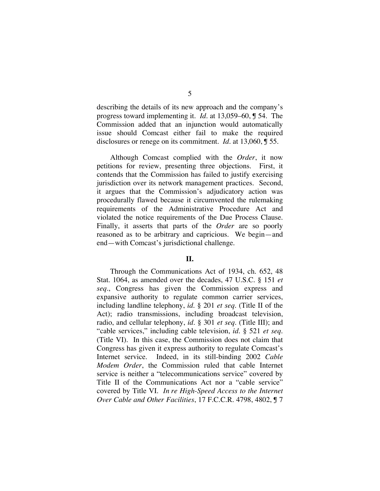describing the details of its new approach and the company's progress toward implementing it. *Id.* at 13,059–60, ¶ 54. The Commission added that an injunction would automatically issue should Comcast either fail to make the required disclosures or renege on its commitment. *Id.* at 13,060, ¶ 55.

Although Comcast complied with the *Order*, it now petitions for review, presenting three objections. First, it contends that the Commission has failed to justify exercising jurisdiction over its network management practices. Second, it argues that the Commission's adjudicatory action was procedurally flawed because it circumvented the rulemaking requirements of the Administrative Procedure Act and violated the notice requirements of the Due Process Clause. Finally, it asserts that parts of the *Order* are so poorly reasoned as to be arbitrary and capricious. We begin—and end—with Comcast's jurisdictional challenge.

### **II.**

Through the Communications Act of 1934, ch. 652, 48 Stat. 1064, as amended over the decades, 47 U.S.C. § 151 *et seq.*, Congress has given the Commission express and expansive authority to regulate common carrier services, including landline telephony, *id.* § 201 *et seq.* (Title II of the Act); radio transmissions, including broadcast television, radio, and cellular telephony, *id.* § 301 *et seq*. (Title III); and "cable services," including cable television, *id.* § 521 *et seq.* (Title VI). In this case, the Commission does not claim that Congress has given it express authority to regulate Comcast's Internet service. Indeed, in its still-binding 2002 *Cable Modem Order*, the Commission ruled that cable Internet service is neither a "telecommunications service" covered by Title II of the Communications Act nor a "cable service" covered by Title VI. *In re High-Speed Access to the Internet Over Cable and Other Facilities*, 17 F.C.C.R. 4798, 4802, ¶ 7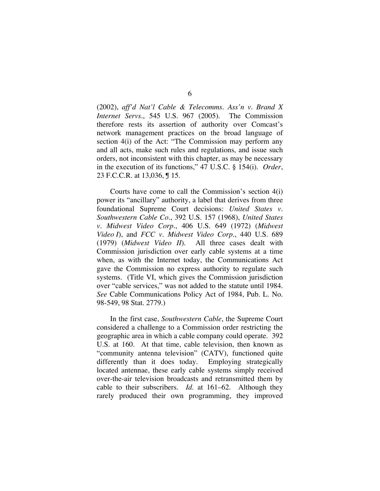(2002), *aff'd Nat'l Cable & Telecomms. Ass'n v. Brand X Internet Servs.*, 545 U.S. 967 (2005). The Commission therefore rests its assertion of authority over Comcast's network management practices on the broad language of section 4(i) of the Act: "The Commission may perform any and all acts, make such rules and regulations, and issue such orders, not inconsistent with this chapter, as may be necessary in the execution of its functions," 47 U.S.C. § 154(i). *Order*, 23 F.C.C.R. at 13,036, ¶ 15.

Courts have come to call the Commission's section 4(i) power its "ancillary" authority, a label that derives from three foundational Supreme Court decisions: *United States v. Southwestern Cable Co.*, 392 U.S. 157 (1968), *United States v. Midwest Video Corp.*, 406 U.S. 649 (1972) (*Midwest Video I*), and *FCC v. Midwest Video Corp.*, 440 U.S. 689 (1979) (*Midwest Video II*). All three cases dealt with Commission jurisdiction over early cable systems at a time when, as with the Internet today, the Communications Act gave the Commission no express authority to regulate such systems. (Title VI, which gives the Commission jurisdiction over "cable services," was not added to the statute until 1984. *See* Cable Communications Policy Act of 1984, Pub. L. No. 98-549, 98 Stat. 2779.)

In the first case, *Southwestern Cable*, the Supreme Court considered a challenge to a Commission order restricting the geographic area in which a cable company could operate. 392 U.S. at 160. At that time, cable television, then known as "community antenna television" (CATV), functioned quite differently than it does today. Employing strategically located antennae, these early cable systems simply received over-the-air television broadcasts and retransmitted them by cable to their subscribers. *Id.* at 161–62. Although they rarely produced their own programming, they improved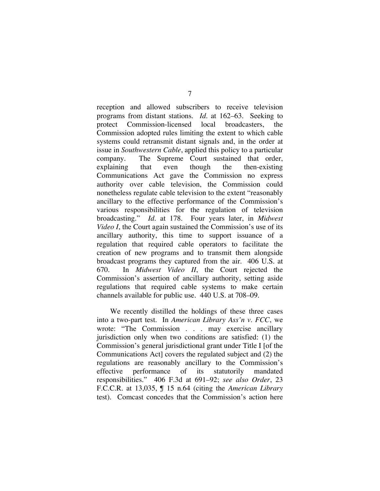reception and allowed subscribers to receive television programs from distant stations. *Id*. at 162–63. Seeking to protect Commission-licensed local broadcasters, the Commission adopted rules limiting the extent to which cable systems could retransmit distant signals and, in the order at issue in *Southwestern Cable*, applied this policy to a particular company. The Supreme Court sustained that order, explaining that even though the then-existing Communications Act gave the Commission no express authority over cable television, the Commission could nonetheless regulate cable television to the extent "reasonably ancillary to the effective performance of the Commission's various responsibilities for the regulation of television broadcasting." *Id.* at 178. Four years later, in *Midwest Video I*, the Court again sustained the Commission's use of its ancillary authority, this time to support issuance of a regulation that required cable operators to facilitate the creation of new programs and to transmit them alongside broadcast programs they captured from the air. 406 U.S. at 670. In *Midwest Video II*, the Court rejected the Commission's assertion of ancillary authority, setting aside regulations that required cable systems to make certain channels available for public use. 440 U.S. at 708–09.

We recently distilled the holdings of these three cases into a two-part test. In *American Library Ass'n v. FCC*, we wrote: "The Commission . . . may exercise ancillary jurisdiction only when two conditions are satisfied: (1) the Commission's general jurisdictional grant under Title I [of the Communications Act] covers the regulated subject and (2) the regulations are reasonably ancillary to the Commission's effective performance of its statutorily mandated responsibilities." 406 F.3d at 691–92; *see also Order*, 23 F.C.C.R. at 13,035, ¶ 15 n.64 (citing the *American Library* test). Comcast concedes that the Commission's action here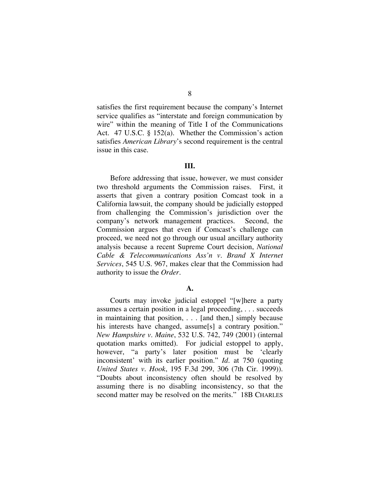satisfies the first requirement because the company's Internet service qualifies as "interstate and foreign communication by wire" within the meaning of Title I of the Communications Act. 47 U.S.C. § 152(a). Whether the Commission's action satisfies *American Library*'s second requirement is the central issue in this case.

#### **III.**

Before addressing that issue, however, we must consider two threshold arguments the Commission raises. First, it asserts that given a contrary position Comcast took in a California lawsuit, the company should be judicially estopped from challenging the Commission's jurisdiction over the company's network management practices. Second, the Commission argues that even if Comcast's challenge can proceed, we need not go through our usual ancillary authority analysis because a recent Supreme Court decision, *National Cable & Telecommunications Ass'n v. Brand X Internet Services*, 545 U.S. 967, makes clear that the Commission had authority to issue the *Order*.

### **A.**

Courts may invoke judicial estoppel "[w]here a party assumes a certain position in a legal proceeding, . . . succeeds in maintaining that position, . . . [and then,] simply because his interests have changed, assume<sup>[s]</sup> a contrary position." *New Hampshire v. Maine*, 532 U.S. 742, 749 (2001) (internal quotation marks omitted). For judicial estoppel to apply, however, "a party's later position must be 'clearly inconsistent' with its earlier position." *Id.* at 750 (quoting *United States v. Hook*, 195 F.3d 299, 306 (7th Cir. 1999)). "Doubts about inconsistency often should be resolved by assuming there is no disabling inconsistency, so that the second matter may be resolved on the merits." 18B CHARLES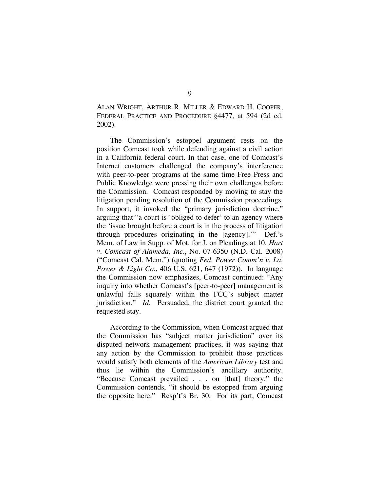ALAN WRIGHT, ARTHUR R. MILLER & EDWARD H. COOPER, FEDERAL PRACTICE AND PROCEDURE §4477, at 594 (2d ed. 2002).

The Commission's estoppel argument rests on the position Comcast took while defending against a civil action in a California federal court. In that case, one of Comcast's Internet customers challenged the company's interference with peer-to-peer programs at the same time Free Press and Public Knowledge were pressing their own challenges before the Commission. Comcast responded by moving to stay the litigation pending resolution of the Commission proceedings. In support, it invoked the "primary jurisdiction doctrine," arguing that "a court is 'obliged to defer' to an agency where the 'issue brought before a court is in the process of litigation through procedures originating in the [agency].'" Def.'s Mem. of Law in Supp. of Mot. for J. on Pleadings at 10, *Hart v. Comcast of Alameda, Inc.*, No. 07-6350 (N.D. Cal. 2008) ("Comcast Cal. Mem.") (quoting *Fed. Power Comm'n v. La. Power & Light Co.*, 406 U.S. 621, 647 (1972)). In language the Commission now emphasizes, Comcast continued: "Any inquiry into whether Comcast's [peer-to-peer] management is unlawful falls squarely within the FCC's subject matter jurisdiction." *Id.* Persuaded, the district court granted the requested stay.

According to the Commission, when Comcast argued that the Commission has "subject matter jurisdiction" over its disputed network management practices, it was saying that any action by the Commission to prohibit those practices would satisfy both elements of the *American Library* test and thus lie within the Commission's ancillary authority. "Because Comcast prevailed . . . on [that] theory," the Commission contends, "it should be estopped from arguing the opposite here." Resp't's Br. 30. For its part, Comcast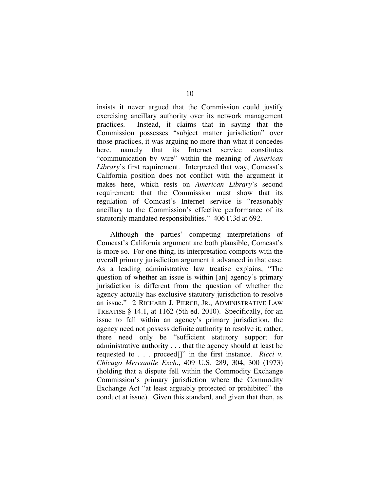insists it never argued that the Commission could justify exercising ancillary authority over its network management practices. Instead, it claims that in saying that the Commission possesses "subject matter jurisdiction" over those practices, it was arguing no more than what it concedes here, namely that its Internet service constitutes "communication by wire" within the meaning of *American Library*'s first requirement. Interpreted that way, Comcast's California position does not conflict with the argument it makes here, which rests on *American Library*'s second requirement: that the Commission must show that its regulation of Comcast's Internet service is "reasonably ancillary to the Commission's effective performance of its statutorily mandated responsibilities." 406 F.3d at 692.

Although the parties' competing interpretations of Comcast's California argument are both plausible, Comcast's is more so. For one thing, its interpretation comports with the overall primary jurisdiction argument it advanced in that case. As a leading administrative law treatise explains, "The question of whether an issue is within [an] agency's primary jurisdiction is different from the question of whether the agency actually has exclusive statutory jurisdiction to resolve an issue." 2 RICHARD J. PIERCE, JR., ADMINISTRATIVE LAW TREATISE § 14.1, at 1162 (5th ed. 2010). Specifically, for an issue to fall within an agency's primary jurisdiction, the agency need not possess definite authority to resolve it; rather, there need only be "sufficient statutory support for administrative authority . . . that the agency should at least be requested to . . . proceed[]" in the first instance. *Ricci v. Chicago Mercantile Exch.*, 409 U.S. 289, 304, 300 (1973) (holding that a dispute fell within the Commodity Exchange Commission's primary jurisdiction where the Commodity Exchange Act "at least arguably protected or prohibited" the conduct at issue). Given this standard, and given that then, as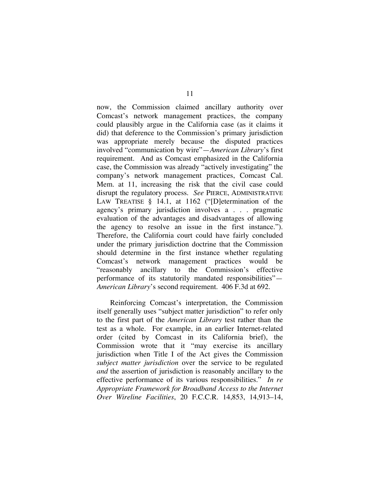now, the Commission claimed ancillary authority over Comcast's network management practices, the company could plausibly argue in the California case (as it claims it did) that deference to the Commission's primary jurisdiction was appropriate merely because the disputed practices involved "communication by wire"—*American Library*'s first requirement. And as Comcast emphasized in the California case, the Commission was already "actively investigating" the company's network management practices, Comcast Cal. Mem. at 11, increasing the risk that the civil case could disrupt the regulatory process. *See* PIERCE, ADMINISTRATIVE LAW TREATISE § 14.1, at 1162 ("Determination of the agency's primary jurisdiction involves a . . . pragmatic evaluation of the advantages and disadvantages of allowing the agency to resolve an issue in the first instance."). Therefore, the California court could have fairly concluded under the primary jurisdiction doctrine that the Commission should determine in the first instance whether regulating Comcast's network management practices would be "reasonably ancillary to the Commission's effective performance of its statutorily mandated responsibilities"— *American Library*'s second requirement. 406 F.3d at 692.

Reinforcing Comcast's interpretation, the Commission itself generally uses "subject matter jurisdiction" to refer only to the first part of the *American Library* test rather than the test as a whole. For example, in an earlier Internet-related order (cited by Comcast in its California brief), the Commission wrote that it "may exercise its ancillary jurisdiction when Title I of the Act gives the Commission *subject matter jurisdiction* over the service to be regulated *and* the assertion of jurisdiction is reasonably ancillary to the effective performance of its various responsibilities." *In re Appropriate Framework for Broadband Access to the Internet Over Wireline Facilities*, 20 F.C.C.R. 14,853, 14,913–14,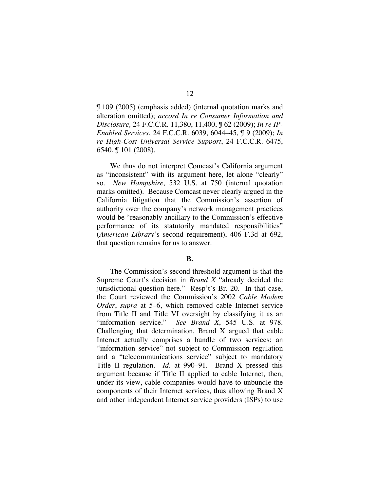¶ 109 (2005) (emphasis added) (internal quotation marks and alteration omitted); *accord In re Consumer Information and Disclosure,* 24 F.C.C.R. 11,380, 11,400, ¶ 62 (2009); *In re IP-Enabled Services*, 24 F.C.C.R. 6039, 6044–45, ¶ 9 (2009); *In re High-Cost Universal Service Support*, 24 F.C.C.R. 6475, 6540, ¶ 101 (2008).

We thus do not interpret Comcast's California argument as "inconsistent" with its argument here, let alone "clearly" so. *New Hampshire*, 532 U.S. at 750 (internal quotation marks omitted). Because Comcast never clearly argued in the California litigation that the Commission's assertion of authority over the company's network management practices would be "reasonably ancillary to the Commission's effective performance of its statutorily mandated responsibilities" (*American Library*'s second requirement), 406 F.3d at 692, that question remains for us to answer.

### **B.**

The Commission's second threshold argument is that the Supreme Court's decision in *Brand X* "already decided the jurisdictional question here." Resp't's Br. 20. In that case, the Court reviewed the Commission's 2002 *Cable Modem Order*, *supra* at 5–6, which removed cable Internet service from Title II and Title VI oversight by classifying it as an "information service." *See Brand X*, 545 U.S. at 978. Challenging that determination, Brand X argued that cable Internet actually comprises a bundle of two services: an "information service" not subject to Commission regulation and a "telecommunications service" subject to mandatory Title II regulation. *Id.* at 990–91. Brand X pressed this argument because if Title II applied to cable Internet, then, under its view, cable companies would have to unbundle the components of their Internet services, thus allowing Brand X and other independent Internet service providers (ISPs) to use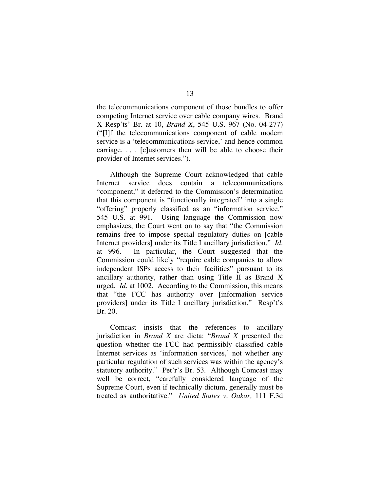the telecommunications component of those bundles to offer competing Internet service over cable company wires. Brand X Resp'ts' Br. at 10, *Brand X*, 545 U.S. 967 (No. 04-277) ("[I]f the telecommunications component of cable modem service is a 'telecommunications service,' and hence common carriage, . . . [c]ustomers then will be able to choose their provider of Internet services.").

Although the Supreme Court acknowledged that cable Internet service does contain a telecommunications "component," it deferred to the Commission's determination that this component is "functionally integrated" into a single "offering" properly classified as an "information service." 545 U.S. at 991. Using language the Commission now emphasizes, the Court went on to say that "the Commission remains free to impose special regulatory duties on [cable Internet providers] under its Title I ancillary jurisdiction." *Id.* at 996. In particular, the Court suggested that the Commission could likely "require cable companies to allow independent ISPs access to their facilities" pursuant to its ancillary authority, rather than using Title II as Brand X urged. *Id.* at 1002. According to the Commission, this means that "the FCC has authority over [information service providers] under its Title I ancillary jurisdiction." Resp't's Br. 20.

Comcast insists that the references to ancillary jurisdiction in *Brand X* are dicta: "*Brand X* presented the question whether the FCC had permissibly classified cable Internet services as 'information services,' not whether any particular regulation of such services was within the agency's statutory authority." Pet'r's Br. 53. Although Comcast may well be correct, "carefully considered language of the Supreme Court, even if technically dictum, generally must be treated as authoritative." *United States v. Oakar,* 111 F.3d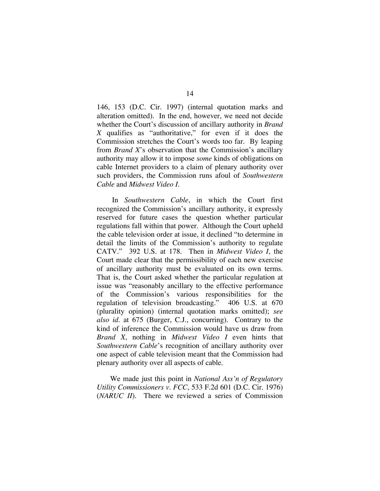146, 153 (D.C. Cir. 1997) (internal quotation marks and alteration omitted). In the end, however, we need not decide whether the Court's discussion of ancillary authority in *Brand X* qualifies as "authoritative," for even if it does the Commission stretches the Court's words too far. By leaping from *Brand X*'s observation that the Commission's ancillary authority may allow it to impose *some* kinds of obligations on cable Internet providers to a claim of plenary authority over such providers, the Commission runs afoul of *Southwestern Cable* and *Midwest Video I*.

 In *Southwestern Cable*, in which the Court first recognized the Commission's ancillary authority, it expressly reserved for future cases the question whether particular regulations fall within that power. Although the Court upheld the cable television order at issue, it declined "to determine in detail the limits of the Commission's authority to regulate CATV." 392 U.S. at 178. Then in *Midwest Video I*, the Court made clear that the permissibility of each new exercise of ancillary authority must be evaluated on its own terms. That is, the Court asked whether the particular regulation at issue was "reasonably ancillary to the effective performance of the Commission's various responsibilities for the regulation of television broadcasting." 406 U.S. at 670 (plurality opinion) (internal quotation marks omitted); *see also id.* at 675 (Burger, C.J., concurring). Contrary to the kind of inference the Commission would have us draw from *Brand X*, nothing in *Midwest Video I* even hints that *Southwestern Cable*'s recognition of ancillary authority over one aspect of cable television meant that the Commission had plenary authority over all aspects of cable.

We made just this point in *National Ass'n of Regulatory Utility Commissioners v. FCC*, 533 F.2d 601 (D.C. Cir. 1976) (*NARUC II*). There we reviewed a series of Commission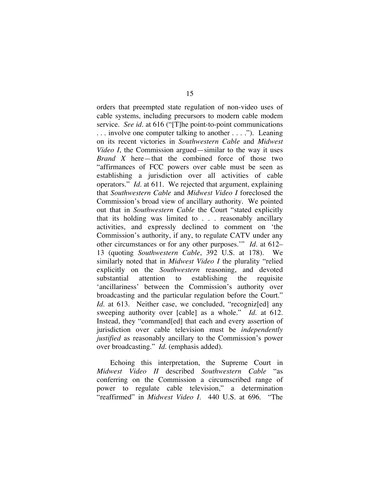orders that preempted state regulation of non-video uses of cable systems, including precursors to modern cable modem service. *See id.* at 616 ("[T]he point-to-point communications . . . involve one computer talking to another . . . ."). Leaning on its recent victories in *Southwestern Cable* and *Midwest Video I*, the Commission argued—similar to the way it uses *Brand X* here—that the combined force of those two "affirmances of FCC powers over cable must be seen as establishing a jurisdiction over all activities of cable operators." *Id.* at 611. We rejected that argument, explaining that *Southwestern Cable* and *Midwest Video I* foreclosed the Commission's broad view of ancillary authority. We pointed out that in *Southwestern Cable* the Court "stated explicitly that its holding was limited to . . . reasonably ancillary activities, and expressly declined to comment on 'the Commission's authority, if any, to regulate CATV under any other circumstances or for any other purposes.'" *Id.* at 612– 13 (quoting *Southwestern Cable*, 392 U.S. at 178). We similarly noted that in *Midwest Video I* the plurality "relied explicitly on the *Southwestern* reasoning, and devoted substantial attention to establishing the requisite 'ancillariness' between the Commission's authority over broadcasting and the particular regulation before the Court." Id. at 613. Neither case, we concluded, "recogniz[ed] any sweeping authority over [cable] as a whole." *Id.* at 612. Instead, they "command[ed] that each and every assertion of jurisdiction over cable television must be *independently justified* as reasonably ancillary to the Commission's power over broadcasting." *Id.* (emphasis added).

Echoing this interpretation, the Supreme Court in *Midwest Video II* described *Southwestern Cable* "as conferring on the Commission a circumscribed range of power to regulate cable television," a determination "reaffirmed" in *Midwest Video I*. 440 U.S. at 696. "The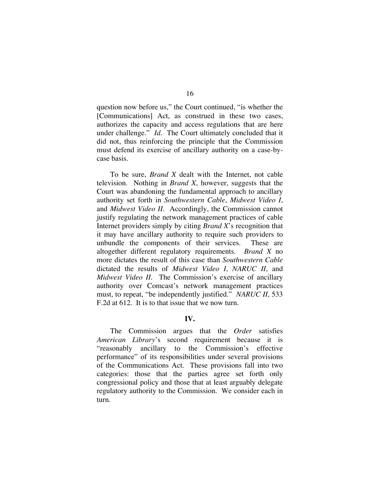question now before us," the Court continued, "is whether the [Communications] Act, as construed in these two cases, authorizes the capacity and access regulations that are here under challenge." *Id.* The Court ultimately concluded that it did not, thus reinforcing the principle that the Commission must defend its exercise of ancillary authority on a case-bycase basis.

To be sure, *Brand X* dealt with the Internet, not cable television. Nothing in *Brand X*, however, suggests that the Court was abandoning the fundamental approach to ancillary authority set forth in *Southwestern Cable*, *Midwest Video I*, and *Midwest Video II.* Accordingly, the Commission cannot justify regulating the network management practices of cable Internet providers simply by citing *Brand X*'s recognition that it may have ancillary authority to require such providers to unbundle the components of their services. These are altogether different regulatory requirements. *Brand X* no more dictates the result of this case than *Southwestern Cable* dictated the results of *Midwest Video I*, *NARUC II*, and *Midwest Video II*. The Commission's exercise of ancillary authority over Comcast's network management practices must, to repeat, "be independently justified." *NARUC II*, 533 F.2d at 612. It is to that issue that we now turn.

## **IV.**

The Commission argues that the *Order* satisfies *American Library*'s second requirement because it is "reasonably ancillary to the Commission's effective performance" of its responsibilities under several provisions of the Communications Act. These provisions fall into two categories: those that the parties agree set forth only congressional policy and those that at least arguably delegate regulatory authority to the Commission. We consider each in turn.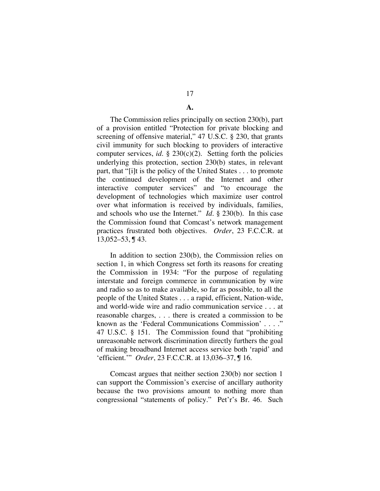# 17

### **A.**

The Commission relies principally on section 230(b), part of a provision entitled "Protection for private blocking and screening of offensive material," 47 U.S.C. § 230, that grants civil immunity for such blocking to providers of interactive computer services, *id.*  $\S$  230(c)(2). Setting forth the policies underlying this protection, section 230(b) states, in relevant part, that "[i]t is the policy of the United States . . . to promote the continued development of the Internet and other interactive computer services" and "to encourage the development of technologies which maximize user control over what information is received by individuals, families, and schools who use the Internet." *Id.* § 230(b). In this case the Commission found that Comcast's network management practices frustrated both objectives. *Order*, 23 F.C.C.R. at 13,052–53, ¶ 43.

In addition to section 230(b), the Commission relies on section 1, in which Congress set forth its reasons for creating the Commission in 1934: "For the purpose of regulating interstate and foreign commerce in communication by wire and radio so as to make available, so far as possible, to all the people of the United States . . . a rapid, efficient, Nation-wide, and world-wide wire and radio communication service . . . at reasonable charges, . . . there is created a commission to be known as the 'Federal Communications Commission' . . . ." 47 U.S.C. § 151. The Commission found that "prohibiting unreasonable network discrimination directly furthers the goal of making broadband Internet access service both 'rapid' and 'efficient.'" *Order*, 23 F.C.C.R. at 13,036–37, ¶ 16.

Comcast argues that neither section 230(b) nor section 1 can support the Commission's exercise of ancillary authority because the two provisions amount to nothing more than congressional "statements of policy." Pet'r's Br. 46. Such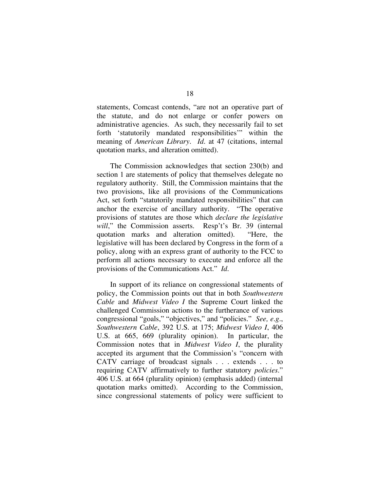statements, Comcast contends, "are not an operative part of the statute, and do not enlarge or confer powers on administrative agencies. As such, they necessarily fail to set forth 'statutorily mandated responsibilities'" within the meaning of *American Library*. *Id*. at 47 (citations, internal quotation marks, and alteration omitted).

The Commission acknowledges that section 230(b) and section 1 are statements of policy that themselves delegate no regulatory authority. Still, the Commission maintains that the two provisions, like all provisions of the Communications Act, set forth "statutorily mandated responsibilities" that can anchor the exercise of ancillary authority. "The operative provisions of statutes are those which *declare the legislative*  will," the Commission asserts. Resp't's Br. 39 (internal quotation marks and alteration omitted). "Here, the legislative will has been declared by Congress in the form of a policy, along with an express grant of authority to the FCC to perform all actions necessary to execute and enforce all the provisions of the Communications Act." *Id*.

In support of its reliance on congressional statements of policy, the Commission points out that in both *Southwestern Cable* and *Midwest Video I* the Supreme Court linked the challenged Commission actions to the furtherance of various congressional "goals," "objectives," and "policies." *See, e.g.*, *Southwestern Cable*, 392 U.S. at 175; *Midwest Video I*, 406 U.S. at 665, 669 (plurality opinion). In particular, the Commission notes that in *Midwest Video I*, the plurality accepted its argument that the Commission's "concern with CATV carriage of broadcast signals . . . extends . . . to requiring CATV affirmatively to further statutory *policies*." 406 U.S. at 664 (plurality opinion) (emphasis added) (internal quotation marks omitted). According to the Commission, since congressional statements of policy were sufficient to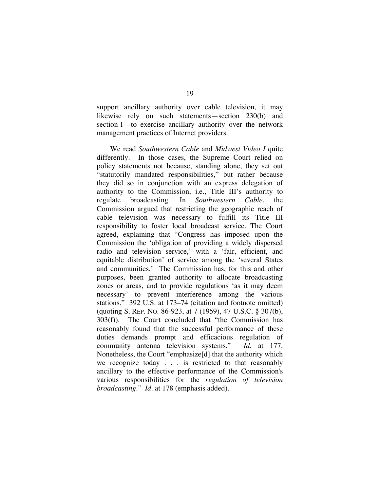support ancillary authority over cable television, it may likewise rely on such statements—section 230(b) and section 1—to exercise ancillary authority over the network management practices of Internet providers.

We read *Southwestern Cable* and *Midwest Video I* quite differently. In those cases, the Supreme Court relied on policy statements not because, standing alone, they set out "statutorily mandated responsibilities," but rather because they did so in conjunction with an express delegation of authority to the Commission, i.e., Title III's authority to regulate broadcasting. In *Southwestern Cable*, the Commission argued that restricting the geographic reach of cable television was necessary to fulfill its Title III responsibility to foster local broadcast service. The Court agreed, explaining that "Congress has imposed upon the Commission the 'obligation of providing a widely dispersed radio and television service,' with a 'fair, efficient, and equitable distribution' of service among the 'several States and communities.' The Commission has, for this and other purposes, been granted authority to allocate broadcasting zones or areas, and to provide regulations 'as it may deem necessary' to prevent interference among the various stations." 392 U.S. at 173–74 (citation and footnote omitted) (quoting S. REP. NO. 86-923, at 7 (1959), 47 U.S.C. § 307(b), 303(f)). The Court concluded that "the Commission has reasonably found that the successful performance of these duties demands prompt and efficacious regulation of community antenna television systems." *Id.* at 177. Nonetheless, the Court "emphasize[d] that the authority which we recognize today . . . is restricted to that reasonably ancillary to the effective performance of the Commission's various responsibilities for the *regulation of television broadcasting*." *Id.* at 178 (emphasis added).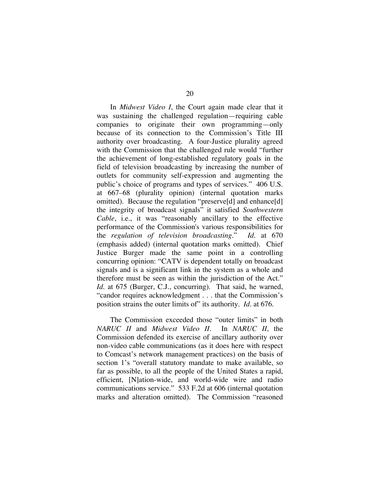In *Midwest Video I*, the Court again made clear that it was sustaining the challenged regulation—requiring cable companies to originate their own programming—only because of its connection to the Commission's Title III authority over broadcasting. A four-Justice plurality agreed with the Commission that the challenged rule would "further the achievement of long-established regulatory goals in the field of television broadcasting by increasing the number of outlets for community self-expression and augmenting the public's choice of programs and types of services." 406 U.S. at 667–68 (plurality opinion) (internal quotation marks omitted). Because the regulation "preserve[d] and enhance[d] the integrity of broadcast signals" it satisfied *Southwestern Cable*, i.e., it was "reasonably ancillary to the effective performance of the Commission's various responsibilities for the *regulation of television broadcasting*." *Id.* at 670 (emphasis added) (internal quotation marks omitted). Chief Justice Burger made the same point in a controlling concurring opinion: "CATV is dependent totally on broadcast signals and is a significant link in the system as a whole and therefore must be seen as within the jurisdiction of the Act." *Id.* at 675 (Burger, C.J., concurring). That said, he warned, "candor requires acknowledgment . . . that the Commission's position strains the outer limits of" its authority. *Id.* at 676.

The Commission exceeded those "outer limits" in both *NARUC II* and *Midwest Video II*. In *NARUC II*, the Commission defended its exercise of ancillary authority over non-video cable communications (as it does here with respect to Comcast's network management practices) on the basis of section 1's "overall statutory mandate to make available, so far as possible, to all the people of the United States a rapid, efficient, [N]ation-wide, and world-wide wire and radio communications service." 533 F.2d at 606 (internal quotation marks and alteration omitted). The Commission "reasoned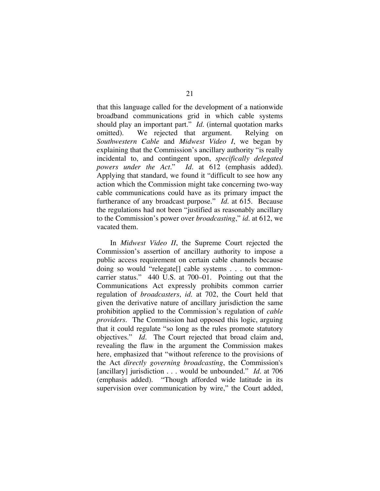that this language called for the development of a nationwide broadband communications grid in which cable systems should play an important part." *Id.* (internal quotation marks omitted). We rejected that argument. Relying on *Southwestern Cable* and *Midwest Video I*, we began by explaining that the Commission's ancillary authority "is really incidental to, and contingent upon, *specifically delegated powers under the Act*." *Id.* at 612 (emphasis added). Applying that standard, we found it "difficult to see how any action which the Commission might take concerning two-way cable communications could have as its primary impact the furtherance of any broadcast purpose." *Id.* at 615. Because the regulations had not been "justified as reasonably ancillary to the Commission's power over *broadcasting*," *id.* at 612, we vacated them.

In *Midwest Video II*, the Supreme Court rejected the Commission's assertion of ancillary authority to impose a public access requirement on certain cable channels because doing so would "relegate[] cable systems . . . to commoncarrier status." 440 U.S. at 700–01. Pointing out that the Communications Act expressly prohibits common carrier regulation of *broadcasters*, *id.* at 702, the Court held that given the derivative nature of ancillary jurisdiction the same prohibition applied to the Commission's regulation of *cable providers*. The Commission had opposed this logic, arguing that it could regulate "so long as the rules promote statutory objectives." *Id.* The Court rejected that broad claim and, revealing the flaw in the argument the Commission makes here, emphasized that "without reference to the provisions of the Act *directly governing broadcasting*, the Commission's [ancillary] jurisdiction . . . would be unbounded." *Id.* at 706 (emphasis added). "Though afforded wide latitude in its supervision over communication by wire," the Court added,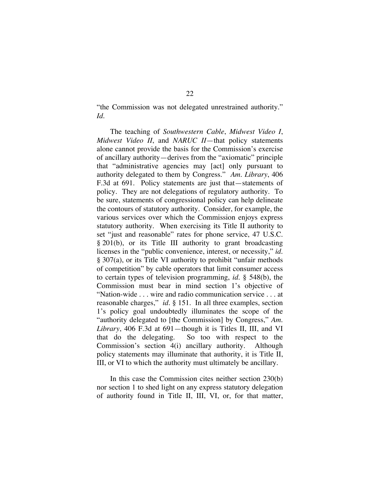"the Commission was not delegated unrestrained authority." *Id.*

The teaching of *Southwestern Cable*, *Midwest Video I*, *Midwest Video II*, and *NARUC II*—that policy statements alone cannot provide the basis for the Commission's exercise of ancillary authority—derives from the "axiomatic" principle that "administrative agencies may [act] only pursuant to authority delegated to them by Congress." *Am. Library*, 406 F.3d at 691. Policy statements are just that—statements of policy. They are not delegations of regulatory authority. To be sure, statements of congressional policy can help delineate the contours of statutory authority. Consider, for example, the various services over which the Commission enjoys express statutory authority. When exercising its Title II authority to set "just and reasonable" rates for phone service, 47 U.S.C. § 201(b), or its Title III authority to grant broadcasting licenses in the "public convenience, interest, or necessity," *id.* § 307(a), or its Title VI authority to prohibit "unfair methods of competition" by cable operators that limit consumer access to certain types of television programming, *id.* § 548(b), the Commission must bear in mind section 1's objective of "Nation-wide . . . wire and radio communication service . . . at reasonable charges," *id.* § 151*.* In all three examples, section 1's policy goal undoubtedly illuminates the scope of the "authority delegated to [the Commission] by Congress," *Am. Library*, 406 F.3d at 691—though it is Titles II, III, and VI that do the delegating. So too with respect to the Commission's section 4(i) ancillary authority. Although policy statements may illuminate that authority, it is Title II, III, or VI to which the authority must ultimately be ancillary.

In this case the Commission cites neither section 230(b) nor section 1 to shed light on any express statutory delegation of authority found in Title II, III, VI, or, for that matter,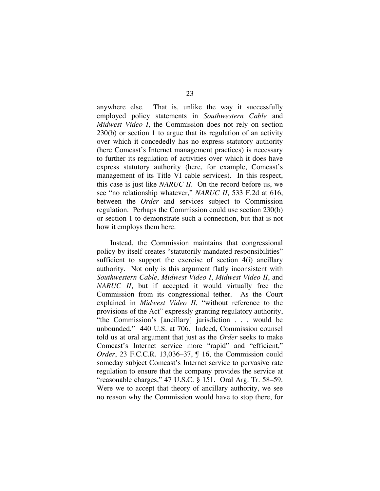anywhere else. That is, unlike the way it successfully employed policy statements in *Southwestern Cable* and *Midwest Video I*, the Commission does not rely on section 230(b) or section 1 to argue that its regulation of an activity over which it concededly has no express statutory authority (here Comcast's Internet management practices) is necessary to further its regulation of activities over which it does have express statutory authority (here, for example, Comcast's management of its Title VI cable services). In this respect, this case is just like *NARUC II*. On the record before us, we see "no relationship whatever," *NARUC II*, 533 F.2d at 616, between the *Order* and services subject to Commission regulation. Perhaps the Commission could use section 230(b) or section 1 to demonstrate such a connection, but that is not how it employs them here.

Instead, the Commission maintains that congressional policy by itself creates "statutorily mandated responsibilities" sufficient to support the exercise of section 4(i) ancillary authority. Not only is this argument flatly inconsistent with *Southwestern Cable*, *Midwest Video I*, *Midwest Video II*, and *NARUC II*, but if accepted it would virtually free the Commission from its congressional tether. As the Court explained in *Midwest Video II*, "without reference to the provisions of the Act" expressly granting regulatory authority, "the Commission's [ancillary] jurisdiction . . . would be unbounded." 440 U.S. at 706. Indeed, Commission counsel told us at oral argument that just as the *Order* seeks to make Comcast's Internet service more "rapid" and "efficient," *Order*, 23 F.C.C.R. 13,036–37, **J** 16, the Commission could someday subject Comcast's Internet service to pervasive rate regulation to ensure that the company provides the service at "reasonable charges," 47 U.S.C. § 151. Oral Arg. Tr. 58–59. Were we to accept that theory of ancillary authority, we see no reason why the Commission would have to stop there, for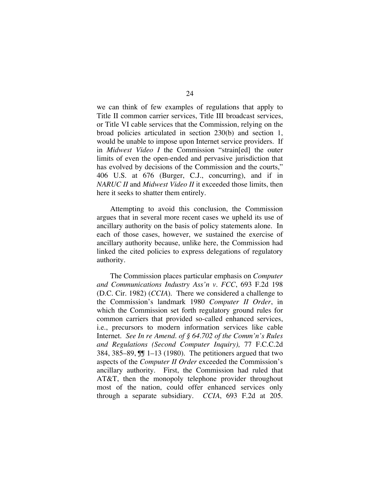we can think of few examples of regulations that apply to Title II common carrier services, Title III broadcast services, or Title VI cable services that the Commission, relying on the broad policies articulated in section 230(b) and section 1, would be unable to impose upon Internet service providers. If in *Midwest Video I* the Commission "strain[ed] the outer limits of even the open-ended and pervasive jurisdiction that has evolved by decisions of the Commission and the courts," 406 U.S. at 676 (Burger, C.J., concurring), and if in *NARUC II* and *Midwest Video II* it exceeded those limits, then here it seeks to shatter them entirely.

Attempting to avoid this conclusion, the Commission argues that in several more recent cases we upheld its use of ancillary authority on the basis of policy statements alone. In each of those cases, however, we sustained the exercise of ancillary authority because, unlike here, the Commission had linked the cited policies to express delegations of regulatory authority.

The Commission places particular emphasis on *Computer and Communications Industry Ass'n v. FCC*, 693 F.2d 198 (D.C. Cir. 1982) (*CCIA*). There we considered a challenge to the Commission's landmark 1980 *Computer II Order*, in which the Commission set forth regulatory ground rules for common carriers that provided so-called enhanced services, i.e., precursors to modern information services like cable Internet. *See In re Amend. of § 64.702 of the Comm'n's Rules and Regulations (Second Computer Inquiry),* 77 F.C.C.2d 384, 385–89, ¶¶ 1–13 (1980). The petitioners argued that two aspects of the *Computer II Order* exceeded the Commission's ancillary authority. First, the Commission had ruled that AT&T, then the monopoly telephone provider throughout most of the nation, could offer enhanced services only through a separate subsidiary. *CCIA*, 693 F.2d at 205.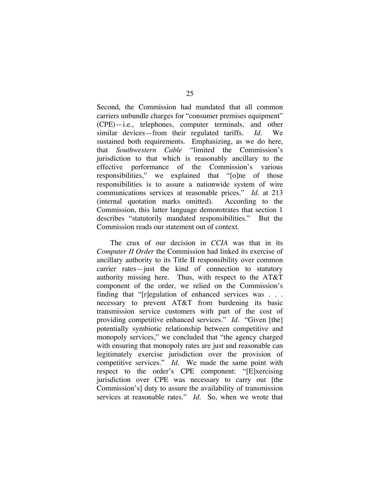Second, the Commission had mandated that all common carriers unbundle charges for "consumer premises equipment" (CPE)—i.e., telephones, computer terminals, and other similar devices—from their regulated tariffs. *Id.* We sustained both requirements. Emphasizing, as we do here, that *Southwestern Cable* "limited the Commission's jurisdiction to that which is reasonably ancillary to the effective performance of the Commission's various responsibilities," we explained that "[o]ne of those responsibilities is to assure a nationwide system of wire communications services at reasonable prices." *Id.* at 213 (internal quotation marks omitted)*.* According to the Commission, this latter language demonstrates that section 1 describes "statutorily mandated responsibilities." But the Commission reads our statement out of context.

The crux of our decision in *CCIA* was that in its *Computer II Order* the Commission had linked its exercise of ancillary authority to its Title II responsibility over common carrier rates—just the kind of connection to statutory authority missing here. Thus, with respect to the AT&T component of the order, we relied on the Commission's finding that "[r]egulation of enhanced services was . . . necessary to prevent AT&T from burdening its basic transmission service customers with part of the cost of providing competitive enhanced services." *Id.* "Given [the] potentially symbiotic relationship between competitive and monopoly services," we concluded that "the agency charged with ensuring that monopoly rates are just and reasonable can legitimately exercise jurisdiction over the provision of competitive services." *Id*. We made the same point with respect to the order's CPE component: "[E]xercising jurisdiction over CPE was necessary to carry out [the Commission's] duty to assure the availability of transmission services at reasonable rates." *Id*. So, when we wrote that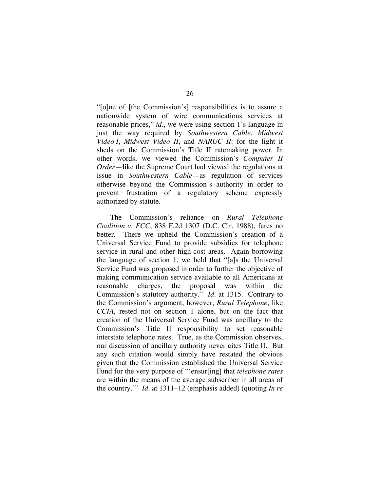"[o]ne of [the Commission's] responsibilities is to assure a nationwide system of wire communications services at reasonable prices," *id.*, we were using section 1's language in just the way required by *Southwestern Cable*, *Midwest Video I*, *Midwest Video II*, and *NARUC II*: for the light it sheds on the Commission's Title II ratemaking power. In other words, we viewed the Commission's *Computer II Order*—like the Supreme Court had viewed the regulations at issue in *Southwestern Cable*—as regulation of services otherwise beyond the Commission's authority in order to prevent frustration of a regulatory scheme expressly authorized by statute.

The Commission's reliance on *Rural Telephone Coalition v. FCC*, 838 F.2d 1307 (D.C. Cir. 1988), fares no better. There we upheld the Commission's creation of a Universal Service Fund to provide subsidies for telephone service in rural and other high-cost areas. Again borrowing the language of section 1, we held that "[a]s the Universal Service Fund was proposed in order to further the objective of making communication service available to all Americans at reasonable charges, the proposal was within the Commission's statutory authority." *Id.* at 1315. Contrary to the Commission's argument, however, *Rural Telephone*, like *CCIA*, rested not on section 1 alone, but on the fact that creation of the Universal Service Fund was ancillary to the Commission's Title II responsibility to set reasonable interstate telephone rates. True, as the Commission observes, our discussion of ancillary authority never cites Title II. But any such citation would simply have restated the obvious given that the Commission established the Universal Service Fund for the very purpose of "'ensur[ing] that *telephone rates* are within the means of the average subscriber in all areas of the country.'" *Id.* at 1311–12 (emphasis added) (quoting *In re*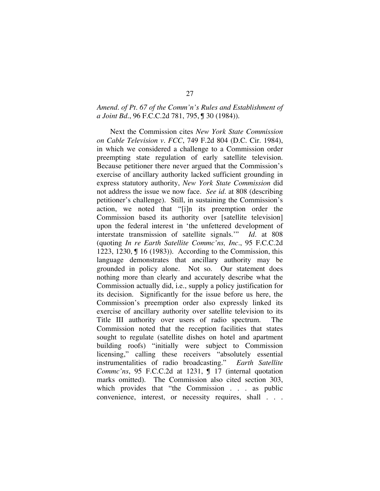## *Amend. of Pt. 67 of the Comm'n's Rules and Establishment of a Joint Bd.*, 96 F.C.C.2d 781, 795, ¶ 30 (1984)).

Next the Commission cites *New York State Commission on Cable Television v. FCC*, 749 F.2d 804 (D.C. Cir. 1984), in which we considered a challenge to a Commission order preempting state regulation of early satellite television. Because petitioner there never argued that the Commission's exercise of ancillary authority lacked sufficient grounding in express statutory authority, *New York State Commission* did not address the issue we now face. *See id.* at 808 (describing petitioner's challenge). Still, in sustaining the Commission's action, we noted that "[i]n its preemption order the Commission based its authority over [satellite television] upon the federal interest in 'the unfettered development of interstate transmission of satellite signals.'" *Id.* at 808 (quoting *In re Earth Satellite Commc'ns, Inc.*, 95 F.C.C.2d 1223, 1230, ¶ 16 (1983)). According to the Commission, this language demonstrates that ancillary authority may be grounded in policy alone. Not so. Our statement does nothing more than clearly and accurately describe what the Commission actually did, i.e., supply a policy justification for its decision. Significantly for the issue before us here, the Commission's preemption order also expressly linked its exercise of ancillary authority over satellite television to its Title III authority over users of radio spectrum. The Commission noted that the reception facilities that states sought to regulate (satellite dishes on hotel and apartment building roofs) "initially were subject to Commission licensing," calling these receivers "absolutely essential instrumentalities of radio broadcasting." *Earth Satellite Commc'ns*, 95 F.C.C.2d at 1231, 1 17 (internal quotation marks omitted). The Commission also cited section 303, which provides that "the Commission . . . as public convenience, interest, or necessity requires, shall . . .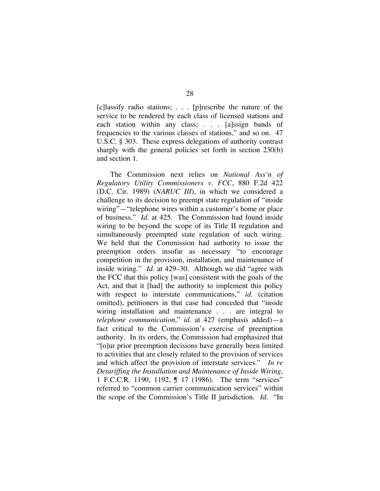[c]lassify radio stations; . . . [p]rescribe the nature of the service to be rendered by each class of licensed stations and each station within any class; . . . [a]ssign bands of frequencies to the various classes of stations," and so on. 47 U.S.C. § 303. These express delegations of authority contrast sharply with the general policies set forth in section 230(b) and section 1.

The Commission next relies on *National Ass'n of Regulatory Utility Commissioners v. FCC*, 880 F.2d 422 (D.C. Cir. 1989) (*NARUC III*), in which we considered a challenge to its decision to preempt state regulation of "inside wiring"—"telephone wires within a customer's home or place of business." *Id.* at 425. The Commission had found inside wiring to be beyond the scope of its Title II regulation and simultaneously preempted state regulation of such wiring. We held that the Commission had authority to issue the preemption orders insofar as necessary "to encourage competition in the provision, installation, and maintenance of inside wiring." *Id.* at 429–30. Although we did "agree with the FCC that this policy [was] consistent with the goals of the Act, and that it [had] the authority to implement this policy with respect to interstate communications," *id*. (citation omitted), petitioners in that case had conceded that "inside wiring installation and maintenance . . . are integral to *telephone communication*," *id.* at 427 (emphasis added)—a fact critical to the Commission's exercise of preemption authority. In its orders, the Commission had emphasized that "[o]ur prior preemption decisions have generally been limited to activities that are closely related to the provision of services and which affect the provision of interstate services." *In re Detariffing the Installation and Maintenance of Inside Wiring*, 1 F.C.C.R. 1190, 1192, ¶ 17 (1986). The term "services" referred to "common carrier communication services" within the scope of the Commission's Title II jurisdiction. *Id.* "In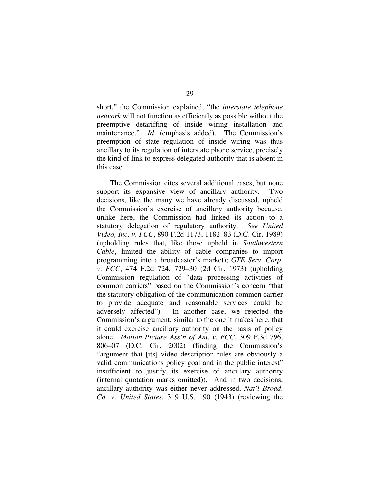short," the Commission explained, "the *interstate telephone network* will not function as efficiently as possible without the preemptive detariffing of inside wiring installation and maintenance." *Id.* (emphasis added). The Commission's preemption of state regulation of inside wiring was thus ancillary to its regulation of interstate phone service, precisely the kind of link to express delegated authority that is absent in this case.

The Commission cites several additional cases, but none support its expansive view of ancillary authority. Two decisions, like the many we have already discussed, upheld the Commission's exercise of ancillary authority because, unlike here, the Commission had linked its action to a statutory delegation of regulatory authority. *See United Video, Inc. v. FCC*, 890 F.2d 1173, 1182–83 (D.C. Cir. 1989) (upholding rules that, like those upheld in *Southwestern Cable*, limited the ability of cable companies to import programming into a broadcaster's market); *GTE Serv. Corp. v. FCC*, 474 F.2d 724, 729–30 (2d Cir. 1973) (upholding Commission regulation of "data processing activities of common carriers" based on the Commission's concern "that the statutory obligation of the communication common carrier to provide adequate and reasonable services could be adversely affected"). In another case, we rejected the Commission's argument, similar to the one it makes here, that it could exercise ancillary authority on the basis of policy alone. *Motion Picture Ass'n of Am. v. FCC*, 309 F.3d 796, 806–07 (D.C. Cir. 2002) (finding the Commission's "argument that [its] video description rules are obviously a valid communications policy goal and in the public interest" insufficient to justify its exercise of ancillary authority (internal quotation marks omitted)). And in two decisions, ancillary authority was either never addressed, *Nat'l Broad. Co. v. United States*, 319 U.S. 190 (1943) (reviewing the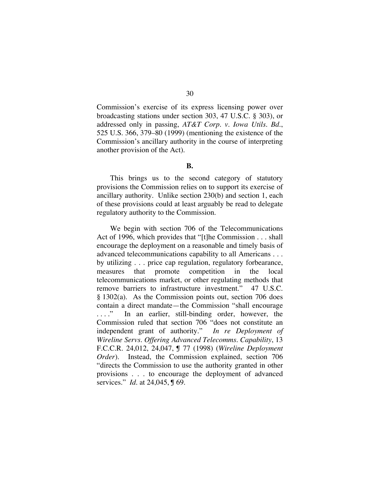Commission's exercise of its express licensing power over broadcasting stations under section 303, 47 U.S.C. § 303), or addressed only in passing, *AT&T Corp. v. Iowa Utils. Bd.*, 525 U.S. 366, 379–80 (1999) (mentioning the existence of the Commission's ancillary authority in the course of interpreting another provision of the Act).

**B.**

This brings us to the second category of statutory provisions the Commission relies on to support its exercise of ancillary authority. Unlike section 230(b) and section 1, each of these provisions could at least arguably be read to delegate regulatory authority to the Commission.

We begin with section 706 of the Telecommunications Act of 1996, which provides that "[t]he Commission . . . shall encourage the deployment on a reasonable and timely basis of advanced telecommunications capability to all Americans . . . by utilizing . . . price cap regulation, regulatory forbearance, measures that promote competition in the local telecommunications market, or other regulating methods that remove barriers to infrastructure investment." 47 U.S.C. § 1302(a). As the Commission points out, section 706 does contain a direct mandate—the Commission "shall encourage ...." In an earlier, still-binding order, however, the Commission ruled that section 706 "does not constitute an independent grant of authority." *In re Deployment of Wireline Servs. Offering Advanced Telecomms. Capability*, 13 F.C.C.R. 24,012, 24,047, ¶ 77 (1998) (*Wireline Deployment Order*). Instead, the Commission explained, section 706 "directs the Commission to use the authority granted in other provisions . . . to encourage the deployment of advanced services." *Id.* at 24,045, ¶ 69.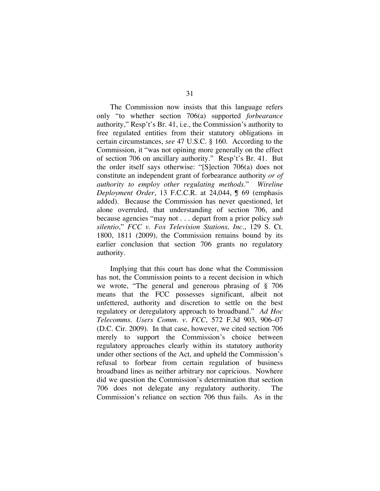The Commission now insists that this language refers only "to whether section 706(a) supported *forbearance* authority," Resp't's Br. 41, i.e., the Commission's authority to free regulated entities from their statutory obligations in certain circumstances, *see* 47 U.S.C. § 160. According to the Commission, it "was not opining more generally on the effect of section 706 on ancillary authority." Resp't's Br. 41. But the order itself says otherwise: "[S]ection 706(a) does not constitute an independent grant of forbearance authority *or of authority to employ other regulating methods*." *Wireline Deployment Order*, 13 F.C.C.R. at 24,044, ¶ 69 (emphasis added). Because the Commission has never questioned, let alone overruled, that understanding of section 706, and because agencies "may not . . . depart from a prior policy *sub silentio*," *FCC v. Fox Television Stations, Inc.*, 129 S. Ct. 1800, 1811 (2009), the Commission remains bound by its earlier conclusion that section 706 grants no regulatory authority.

Implying that this court has done what the Commission has not, the Commission points to a recent decision in which we wrote, "The general and generous phrasing of § 706 means that the FCC possesses significant, albeit not unfettered, authority and discretion to settle on the best regulatory or deregulatory approach to broadband." *Ad Hoc Telecomms. Users Comm. v. FCC*, 572 F.3d 903, 906–07 (D.C. Cir. 2009). In that case, however, we cited section 706 merely to support the Commission's choice between regulatory approaches clearly within its statutory authority under other sections of the Act, and upheld the Commission's refusal to forbear from certain regulation of business broadband lines as neither arbitrary nor capricious. Nowhere did we question the Commission's determination that section 706 does not delegate any regulatory authority. The Commission's reliance on section 706 thus fails. As in the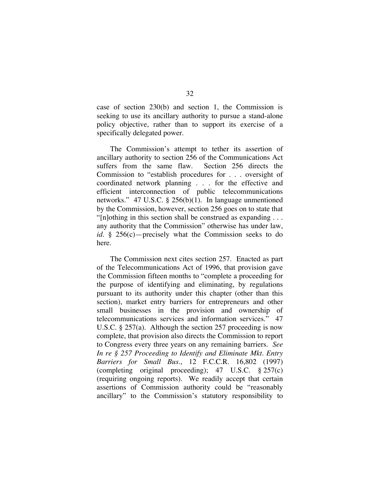case of section 230(b) and section 1, the Commission is seeking to use its ancillary authority to pursue a stand-alone policy objective, rather than to support its exercise of a specifically delegated power.

The Commission's attempt to tether its assertion of ancillary authority to section 256 of the Communications Act suffers from the same flaw. Section 256 directs the Commission to "establish procedures for . . . oversight of coordinated network planning . . . for the effective and efficient interconnection of public telecommunications networks." 47 U.S.C. § 256(b)(1). In language unmentioned by the Commission, however, section 256 goes on to state that "[n]othing in this section shall be construed as expanding . . . any authority that the Commission" otherwise has under law, *id.* § 256(c)—precisely what the Commission seeks to do here.

The Commission next cites section 257. Enacted as part of the Telecommunications Act of 1996, that provision gave the Commission fifteen months to "complete a proceeding for the purpose of identifying and eliminating, by regulations pursuant to its authority under this chapter (other than this section), market entry barriers for entrepreneurs and other small businesses in the provision and ownership of telecommunications services and information services." 47 U.S.C. § 257(a). Although the section 257 proceeding is now complete, that provision also directs the Commission to report to Congress every three years on any remaining barriers. *See In re § 257 Proceeding to Identify and Eliminate Mkt. Entry Barriers for Small Bus.*, 12 F.C.C.R. 16,802 (1997) (completing original proceeding); 47 U.S.C. § 257(c) (requiring ongoing reports). We readily accept that certain assertions of Commission authority could be "reasonably ancillary" to the Commission's statutory responsibility to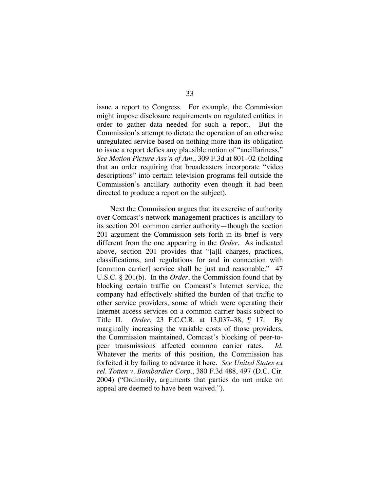issue a report to Congress. For example, the Commission might impose disclosure requirements on regulated entities in order to gather data needed for such a report. But the Commission's attempt to dictate the operation of an otherwise unregulated service based on nothing more than its obligation to issue a report defies any plausible notion of "ancillariness." *See Motion Picture Ass'n of Am.*, 309 F.3d at 801–02 (holding that an order requiring that broadcasters incorporate "video descriptions" into certain television programs fell outside the Commission's ancillary authority even though it had been directed to produce a report on the subject).

Next the Commission argues that its exercise of authority over Comcast's network management practices is ancillary to its section 201 common carrier authority—though the section 201 argument the Commission sets forth in its brief is very different from the one appearing in the *Order*. As indicated above, section 201 provides that "[a]ll charges, practices, classifications, and regulations for and in connection with [common carrier] service shall be just and reasonable." 47 U.S.C. § 201(b). In the *Order*, the Commission found that by blocking certain traffic on Comcast's Internet service, the company had effectively shifted the burden of that traffic to other service providers, some of which were operating their Internet access services on a common carrier basis subject to Title II. *Order*, 23 F.C.C.R. at 13,037–38, ¶ 17. By marginally increasing the variable costs of those providers, the Commission maintained, Comcast's blocking of peer-topeer transmissions affected common carrier rates. *Id.*  Whatever the merits of this position, the Commission has forfeited it by failing to advance it here. *See United States ex rel. Totten v. Bombardier Corp.*, 380 F.3d 488, 497 (D.C. Cir. 2004) ("Ordinarily, arguments that parties do not make on appeal are deemed to have been waived.").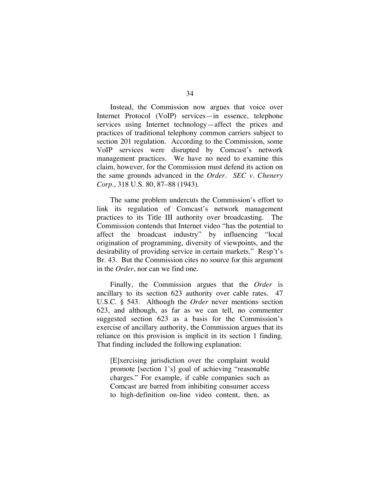Instead, the Commission now argues that voice over Internet Protocol (VoIP) services—in essence, telephone services using Internet technology—affect the prices and practices of traditional telephony common carriers subject to section 201 regulation. According to the Commission, some VoIP services were disrupted by Comcast's network management practices. We have no need to examine this claim, however, for the Commission must defend its action on the same grounds advanced in the *Order*. *SEC v. Chenery Corp.*, 318 U.S. 80, 87–88 (1943).

The same problem undercuts the Commission's effort to link its regulation of Comcast's network management practices to its Title III authority over broadcasting. The Commission contends that Internet video "has the potential to affect the broadcast industry" by influencing "local origination of programming, diversity of viewpoints, and the desirability of providing service in certain markets." Resp't's Br. 43. But the Commission cites no source for this argument in the *Order*, nor can we find one.

Finally, the Commission argues that the *Order* is ancillary to its section 623 authority over cable rates. 47 U.S.C. § 543. Although the *Order* never mentions section 623, and although, as far as we can tell, no commenter suggested section 623 as a basis for the Commission's exercise of ancillary authority, the Commission argues that its reliance on this provision is implicit in its section 1 finding. That finding included the following explanation:

[E]xercising jurisdiction over the complaint would promote [section 1's] goal of achieving "reasonable charges." For example, if cable companies such as Comcast are barred from inhibiting consumer access to high-definition on-line video content, then, as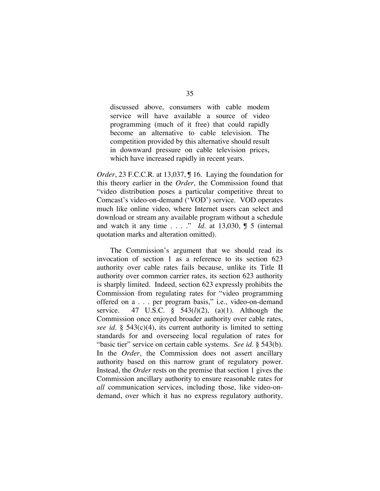discussed above, consumers with cable modem service will have available a source of video programming (much of it free) that could rapidly become an alternative to cable television. The competition provided by this alternative should result in downward pressure on cable television prices, which have increased rapidly in recent years.

*Order*, 23 F.C.C.R. at 13,037, 16. Laying the foundation for this theory earlier in the *Order*, the Commission found that "video distribution poses a particular competitive threat to Comcast's video-on-demand ('VOD') service. VOD operates much like online video, where Internet users can select and download or stream any available program without a schedule and watch it any time  $\ldots$  ." *Id.* at 13,030,  $\int$  5 (internal quotation marks and alteration omitted).

The Commission's argument that we should read its invocation of section 1 as a reference to its section 623 authority over cable rates fails because, unlike its Title II authority over common carrier rates, its section 623 authority is sharply limited. Indeed, section 623 expressly prohibits the Commission from regulating rates for "video programming offered on a . . . per program basis," i.e., video-on-demand service. 47 U.S.C. § 543(*l*)(2), (a)(1). Although the Commission once enjoyed broader authority over cable rates, *see id.* § 543(c)(4), its current authority is limited to setting standards for and overseeing local regulation of rates for "basic tier" service on certain cable systems. *See id.* § 543(b). In the *Order*, the Commission does not assert ancillary authority based on this narrow grant of regulatory power. Instead, the *Order* rests on the premise that section 1 gives the Commission ancillary authority to ensure reasonable rates for *all* communication services, including those, like video-ondemand, over which it has no express regulatory authority.